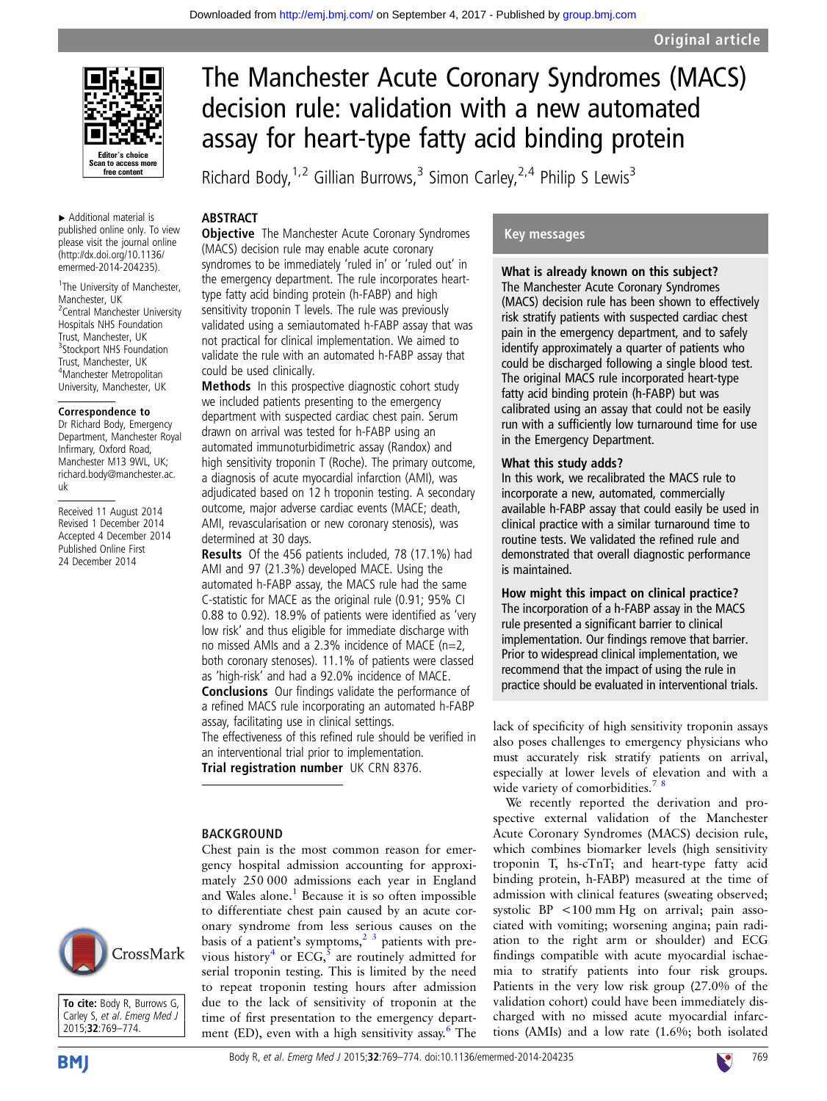

▸ Additional material is published online only. To view please visit the journal online [\(http://dx.doi.org/10.1136/](http://dx.doi.org/10.1136/emermed-2014-204235) [emermed-2014-204235](http://dx.doi.org/10.1136/emermed-2014-204235)).

<sup>1</sup>The University of Manchester, Manchester, UK <sup>2</sup> Central Manchester University Hospitals NHS Foundation Trust, Manchester, UK <sup>3</sup>Stockport NHS Foundation Trust, Manchester, UK 4 Manchester Metropolitan University, Manchester, UK

#### Correspondence to

Dr Richard Body, Emergency Department, Manchester Royal Infirmary, Oxford Road, Manchester M13 9WL, UK; richard.body@manchester.ac. uk

Received 11 August 2014 Revised 1 December 2014 Accepted 4 December 2014 Published Online First 24 December 2014



To cite: Body R, Burrows G, Carley S, et al. Emerg Med J 2015;32:769–774.

# The Manchester Acute Coronary Syndromes (MACS) decision rule: validation with a new automated assay for heart-type fatty acid binding protein

Richard Body,  $1.2$  Gillian Burrows, <sup>3</sup> Simon Carley,  $2.4$  Philip S Lewis<sup>3</sup>

#### **ABSTRACT**

**Objective** The Manchester Acute Coronary Syndromes (MACS) decision rule may enable acute coronary syndromes to be immediately 'ruled in' or 'ruled out' in the emergency department. The rule incorporates hearttype fatty acid binding protein (h-FABP) and high sensitivity troponin T levels. The rule was previously validated using a semiautomated h-FABP assay that was not practical for clinical implementation. We aimed to validate the rule with an automated h-FABP assay that could be used clinically.

Methods In this prospective diagnostic cohort study we included patients presenting to the emergency department with suspected cardiac chest pain. Serum drawn on arrival was tested for h-FABP using an automated immunoturbidimetric assay (Randox) and high sensitivity troponin T (Roche). The primary outcome, a diagnosis of acute myocardial infarction (AMI), was adjudicated based on 12 h troponin testing. A secondary outcome, major adverse cardiac events (MACE; death, AMI, revascularisation or new coronary stenosis), was determined at 30 days.

Results Of the 456 patients included, 78 (17.1%) had AMI and 97 (21.3%) developed MACE. Using the automated h-FABP assay, the MACS rule had the same C-statistic for MACE as the original rule (0.91; 95% CI 0.88 to 0.92). 18.9% of patients were identified as 'very low risk' and thus eligible for immediate discharge with no missed AMIs and a 2.3% incidence of MACE (n=2, both coronary stenoses). 11.1% of patients were classed as 'high-risk' and had a 92.0% incidence of MACE.

Conclusions Our findings validate the performance of a refined MACS rule incorporating an automated h-FABP assay, facilitating use in clinical settings.

The effectiveness of this refined rule should be verified in an interventional trial prior to implementation.

Trial registration number UK CRN 8376.

#### BACKGROUND

Chest pain is the most common reason for emergency hospital admission accounting for approximately 250 000 admissions each year in England and Wales alone.<sup>[1](#page-5-0)</sup> Because it is so often impossible to differentiate chest pain caused by an acute coronary syndrome from less serious causes on the basis of a patient's symptoms, $2<sup>3</sup>$  patients with pre-vious history<sup>[4](#page-5-0)</sup> or ECG,<sup>[5](#page-5-0)</sup> are routinely admitted for serial troponin testing. This is limited by the need to repeat troponin testing hours after admission due to the lack of sensitivity of troponin at the time of first presentation to the emergency depart-ment (ED), even with a high sensitivity assay.<sup>[6](#page-5-0)</sup> The

#### Key messages

What is already known on this subject? The Manchester Acute Coronary Syndromes (MACS) decision rule has been shown to effectively risk stratify patients with suspected cardiac chest pain in the emergency department, and to safely identify approximately a quarter of patients who could be discharged following a single blood test. The original MACS rule incorporated heart-type fatty acid binding protein (h-FABP) but was calibrated using an assay that could not be easily run with a sufficiently low turnaround time for use in the Emergency Department.

#### What this study adds?

In this work, we recalibrated the MACS rule to incorporate a new, automated, commercially available h-FABP assay that could easily be used in clinical practice with a similar turnaround time to routine tests. We validated the refined rule and demonstrated that overall diagnostic performance is maintained.

How might this impact on clinical practice? The incorporation of a h-FABP assay in the MACS rule presented a significant barrier to clinical implementation. Our findings remove that barrier. Prior to widespread clinical implementation, we recommend that the impact of using the rule in practice should be evaluated in interventional trials.

lack of specificity of high sensitivity troponin assays also poses challenges to emergency physicians who must accurately risk stratify patients on arrival, especially at lower levels of elevation and with a wide variety of comorbidities.<sup>7</sup>

We recently reported the derivation and prospective external validation of the Manchester Acute Coronary Syndromes (MACS) decision rule, which combines biomarker levels (high sensitivity troponin T, hs-cTnT; and heart-type fatty acid binding protein, h-FABP) measured at the time of admission with clinical features (sweating observed; systolic BP <100 mm Hg on arrival; pain associated with vomiting; worsening angina; pain radiation to the right arm or shoulder) and ECG findings compatible with acute myocardial ischaemia to stratify patients into four risk groups. Patients in the very low risk group (27.0% of the validation cohort) could have been immediately discharged with no missed acute myocardial infarctions (AMIs) and a low rate (1.6%; both isolated

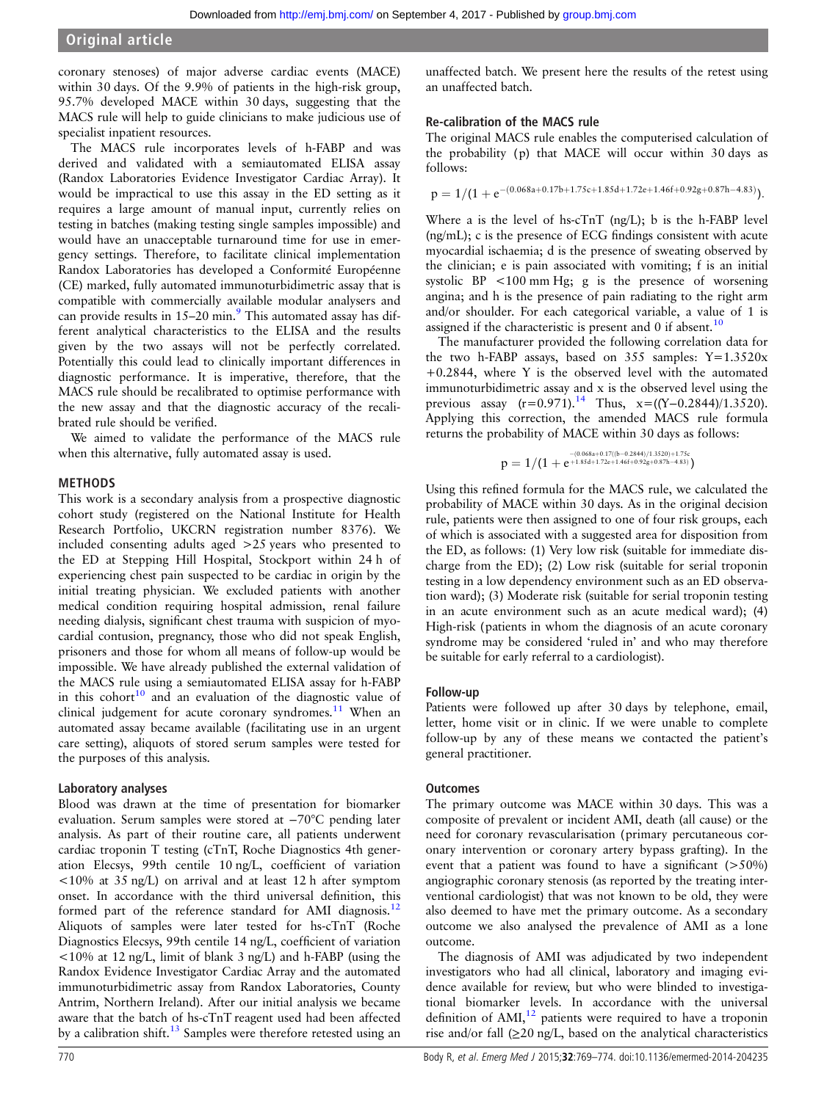coronary stenoses) of major adverse cardiac events (MACE) within 30 days. Of the 9.9% of patients in the high-risk group, 95.7% developed MACE within 30 days, suggesting that the MACS rule will help to guide clinicians to make judicious use of specialist inpatient resources.

The MACS rule incorporates levels of h-FABP and was derived and validated with a semiautomated ELISA assay (Randox Laboratories Evidence Investigator Cardiac Array). It would be impractical to use this assay in the ED setting as it requires a large amount of manual input, currently relies on testing in batches (making testing single samples impossible) and would have an unacceptable turnaround time for use in emergency settings. Therefore, to facilitate clinical implementation Randox Laboratories has developed a Conformité Européenne (CE) marked, fully automated immunoturbidimetric assay that is compatible with commercially available modular analysers and can provide results in 15–20 min.<sup>[9](#page-5-0)</sup> This automated assay has different analytical characteristics to the ELISA and the results given by the two assays will not be perfectly correlated. Potentially this could lead to clinically important differences in diagnostic performance. It is imperative, therefore, that the MACS rule should be recalibrated to optimise performance with the new assay and that the diagnostic accuracy of the recalibrated rule should be verified.

We aimed to validate the performance of the MACS rule when this alternative, fully automated assay is used.

#### METHODS

This work is a secondary analysis from a prospective diagnostic cohort study (registered on the National Institute for Health Research Portfolio, UKCRN registration number 8376). We included consenting adults aged >25 years who presented to the ED at Stepping Hill Hospital, Stockport within 24 h of experiencing chest pain suspected to be cardiac in origin by the initial treating physician. We excluded patients with another medical condition requiring hospital admission, renal failure needing dialysis, significant chest trauma with suspicion of myocardial contusion, pregnancy, those who did not speak English, prisoners and those for whom all means of follow-up would be impossible. We have already published the external validation of the MACS rule using a semiautomated ELISA assay for h-FABP in this cohort<sup>[10](#page-5-0)</sup> and an evaluation of the diagnostic value of clinical judgement for acute coronary syndromes.<sup>[11](#page-5-0)</sup> When an automated assay became available (facilitating use in an urgent care setting), aliquots of stored serum samples were tested for the purposes of this analysis.

#### Laboratory analyses

Blood was drawn at the time of presentation for biomarker evaluation. Serum samples were stored at −70°C pending later analysis. As part of their routine care, all patients underwent cardiac troponin T testing (cTnT, Roche Diagnostics 4th generation Elecsys, 99th centile 10 ng/L, coefficient of variation <10% at 35 ng/L) on arrival and at least 12 h after symptom onset. In accordance with the third universal definition, this formed part of the reference standard for AMI diagnosis.<sup>12</sup> Aliquots of samples were later tested for hs-cTnT (Roche Diagnostics Elecsys, 99th centile 14 ng/L, coefficient of variation <10% at 12 ng/L, limit of blank 3 ng/L) and h-FABP (using the Randox Evidence Investigator Cardiac Array and the automated immunoturbidimetric assay from Randox Laboratories, County Antrim, Northern Ireland). After our initial analysis we became aware that the batch of hs-cTnT reagent used had been affected by a calibration shift.<sup>13</sup> Samples were therefore retested using an

unaffected batch. We present here the results of the retest using an unaffected batch.

#### Re-calibration of the MACS rule

The original MACS rule enables the computerised calculation of the probability (p) that MACE will occur within 30 days as follows:

$$
p = 1/(1 + e^{-(0.068a + 0.17b + 1.75c + 1.85d + 1.72e + 1.46f + 0.92g + 0.87h - 4.83)}).
$$

Where a is the level of hs-cTnT (ng/L); b is the h-FABP level (ng/mL); c is the presence of ECG findings consistent with acute myocardial ischaemia; d is the presence of sweating observed by the clinician; e is pain associated with vomiting; f is an initial systolic BP <100 mm Hg; g is the presence of worsening angina; and h is the presence of pain radiating to the right arm and/or shoulder. For each categorical variable, a value of 1 is assigned if the characteristic is present and  $\theta$  if absent.<sup>[10](#page-5-0)</sup>

The manufacturer provided the following correlation data for the two h-FABP assays, based on 355 samples: Y=1.3520x +0.2844, where Y is the observed level with the automated immunoturbidimetric assay and x is the observed level using the previous assay  $(r=0.971)$ .<sup>14</sup> Thus,  $x=((Y-0.2844)/1.3520)$ . Applying this correction, the amended MACS rule formula returns the probability of MACE within 30 days as follows:

$$
p=1/(1+e^{\scriptscriptstyle-(0.068a+0.17( (b-0.2844)/1.3520) + 1.75c}_{\scriptscriptstyle+(1.85d+1.72e+1.46f+0.92g+0.87h-4.83)})
$$

Using this refined formula for the MACS rule, we calculated the probability of MACE within 30 days. As in the original decision rule, patients were then assigned to one of four risk groups, each of which is associated with a suggested area for disposition from the ED, as follows: (1) Very low risk (suitable for immediate discharge from the ED); (2) Low risk (suitable for serial troponin testing in a low dependency environment such as an ED observation ward); (3) Moderate risk (suitable for serial troponin testing in an acute environment such as an acute medical ward); (4) High-risk (patients in whom the diagnosis of an acute coronary syndrome may be considered 'ruled in' and who may therefore be suitable for early referral to a cardiologist).

#### Follow-up

Patients were followed up after 30 days by telephone, email, letter, home visit or in clinic. If we were unable to complete follow-up by any of these means we contacted the patient's general practitioner.

#### **Outcomes**

The primary outcome was MACE within 30 days. This was a composite of prevalent or incident AMI, death (all cause) or the need for coronary revascularisation (primary percutaneous coronary intervention or coronary artery bypass grafting). In the event that a patient was found to have a significant  $($ >50%) angiographic coronary stenosis (as reported by the treating interventional cardiologist) that was not known to be old, they were also deemed to have met the primary outcome. As a secondary outcome we also analysed the prevalence of AMI as a lone outcome.

The diagnosis of AMI was adjudicated by two independent investigators who had all clinical, laboratory and imaging evidence available for review, but who were blinded to investigational biomarker levels. In accordance with the universal definition of  $AMI<sub>12</sub><sup>12</sup>$  $AMI<sub>12</sub><sup>12</sup>$  $AMI<sub>12</sub><sup>12</sup>$  patients were required to have a troponin rise and/or fall  $(\geq 20 \text{ ng/L})$ , based on the analytical characteristics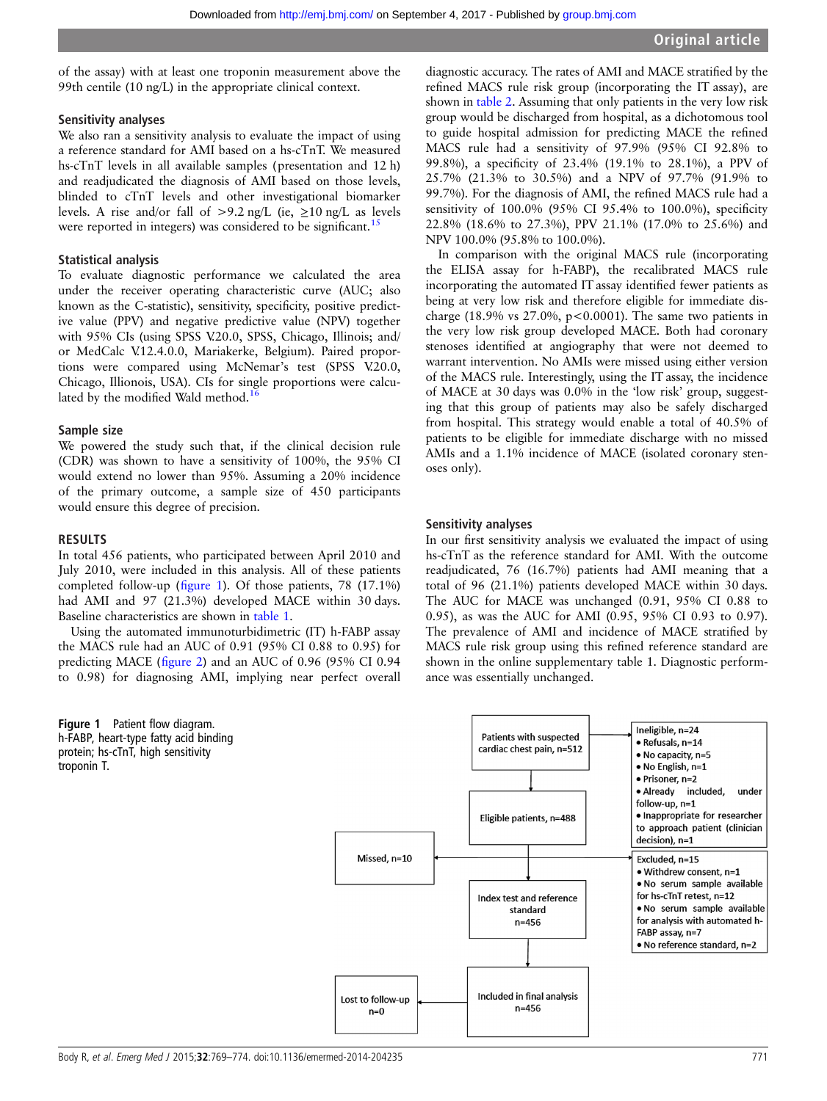of the assay) with at least one troponin measurement above the 99th centile (10 ng/L) in the appropriate clinical context.

#### Sensitivity analyses

We also ran a sensitivity analysis to evaluate the impact of using a reference standard for AMI based on a hs-cTnT. We measured hs-cTnT levels in all available samples (presentation and 12 h) and readjudicated the diagnosis of AMI based on those levels, blinded to cTnT levels and other investigational biomarker levels. A rise and/or fall of  $>9.2$  ng/L (ie,  $\geq 10$  ng/L as levels were reported in integers) was considered to be significant.<sup>[15](#page-5-0)</sup>

#### Statistical analysis

To evaluate diagnostic performance we calculated the area under the receiver operating characteristic curve (AUC; also known as the C-statistic), sensitivity, specificity, positive predictive value (PPV) and negative predictive value (NPV) together with 95% CIs (using SPSS V.20.0, SPSS, Chicago, Illinois; and/ or MedCalc V.12.4.0.0, Mariakerke, Belgium). Paired proportions were compared using McNemar's test (SPSS V.20.0, Chicago, Illionois, USA). CIs for single proportions were calculated by the modified Wald method.<sup>1</sup>

#### Sample size

We powered the study such that, if the clinical decision rule (CDR) was shown to have a sensitivity of 100%, the 95% CI would extend no lower than 95%. Assuming a 20% incidence of the primary outcome, a sample size of 450 participants would ensure this degree of precision.

#### RESULTS

In total 456 patients, who participated between April 2010 and July 2010, were included in this analysis. All of these patients completed follow-up (figure 1). Of those patients, 78 (17.1%) had AMI and 97 (21.3%) developed MACE within 30 days. Baseline characteristics are shown in [table 1.](#page-3-0)

Using the automated immunoturbidimetric (IT) h-FABP assay the MACS rule had an AUC of 0.91 (95% CI 0.88 to 0.95) for predicting MACE (fi[gure 2](#page-3-0)) and an AUC of 0.96 (95% CI 0.94 to 0.98) for diagnosing AMI, implying near perfect overall



diagnostic accuracy. The rates of AMI and MACE stratified by the refined MACS rule risk group (incorporating the IT assay), are shown in [table 2.](#page-4-0) Assuming that only patients in the very low risk group would be discharged from hospital, as a dichotomous tool to guide hospital admission for predicting MACE the refined MACS rule had a sensitivity of 97.9% (95% CI 92.8% to 99.8%), a specificity of 23.4% (19.1% to 28.1%), a PPV of 25.7% (21.3% to 30.5%) and a NPV of 97.7% (91.9% to 99.7%). For the diagnosis of AMI, the refined MACS rule had a sensitivity of 100.0% (95% CI 95.4% to 100.0%), specificity 22.8% (18.6% to 27.3%), PPV 21.1% (17.0% to 25.6%) and NPV 100.0% (95.8% to 100.0%).

In comparison with the original MACS rule (incorporating the ELISA assay for h-FABP), the recalibrated MACS rule incorporating the automated IT assay identified fewer patients as being at very low risk and therefore eligible for immediate discharge (18.9% vs  $27.0\%$ , p<0.0001). The same two patients in the very low risk group developed MACE. Both had coronary stenoses identified at angiography that were not deemed to warrant intervention. No AMIs were missed using either version of the MACS rule. Interestingly, using the IT assay, the incidence of MACE at 30 days was 0.0% in the 'low risk' group, suggesting that this group of patients may also be safely discharged from hospital. This strategy would enable a total of 40.5% of patients to be eligible for immediate discharge with no missed AMIs and a 1.1% incidence of MACE (isolated coronary stenoses only).

#### Sensitivity analyses

In our first sensitivity analysis we evaluated the impact of using hs-cTnT as the reference standard for AMI. With the outcome readjudicated, 76 (16.7%) patients had AMI meaning that a total of 96 (21.1%) patients developed MACE within 30 days. The AUC for MACE was unchanged (0.91, 95% CI 0.88 to 0.95), as was the AUC for AMI (0.95, 95% CI 0.93 to 0.97). The prevalence of AMI and incidence of MACE stratified by MACS rule risk group using this refined reference standard are shown in the online supplementary table 1. Diagnostic performance was essentially unchanged.

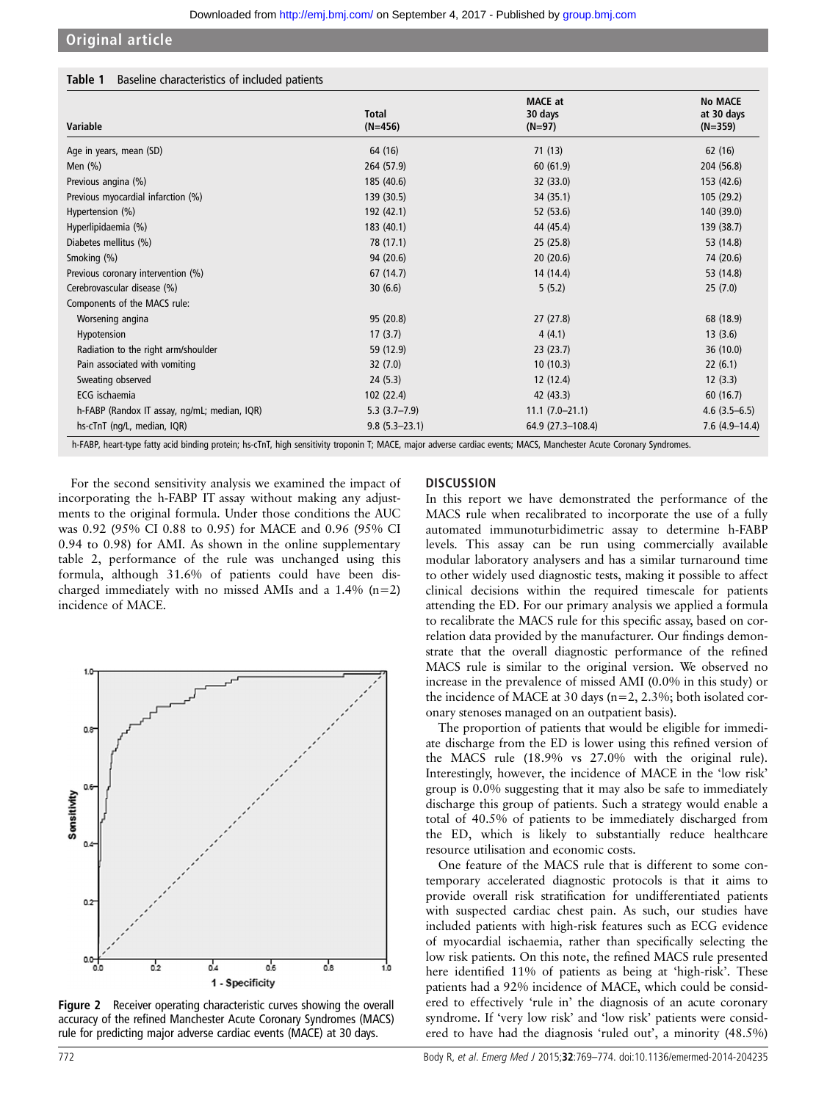## <span id="page-3-0"></span>Original article

#### Table 1 Baseline characteristics of included patients

| Variable                                     | <b>Total</b><br>$(N=456)$ | <b>MACE</b> at<br>30 days<br>$(N=97)$ | <b>No MACE</b><br>at 30 days<br>$(N=359)$ |
|----------------------------------------------|---------------------------|---------------------------------------|-------------------------------------------|
| Age in years, mean (SD)                      | 64 (16)                   | 71(13)                                | 62(16)                                    |
| Men $(\%)$                                   | 264 (57.9)                | 60(61.9)                              | 204 (56.8)                                |
| Previous angina (%)                          | 185 (40.6)                | 32 (33.0)                             | 153 (42.6)                                |
| Previous myocardial infarction (%)           | 139 (30.5)                | 34 (35.1)                             | 105(29.2)                                 |
| Hypertension (%)                             | 192 (42.1)                | 52 (53.6)                             | 140 (39.0)                                |
| Hyperlipidaemia (%)                          | 183 (40.1)                | 44 (45.4)                             | 139 (38.7)                                |
| Diabetes mellitus (%)                        | 78 (17.1)                 | 25(25.8)                              | 53 (14.8)                                 |
| Smoking (%)                                  | 94 (20.6)                 | 20(20.6)                              | 74 (20.6)                                 |
| Previous coronary intervention (%)           | 67 (14.7)                 | 14 (14.4)                             | 53 (14.8)                                 |
| Cerebrovascular disease (%)                  | 30(6.6)                   | 5(5.2)                                | 25(7.0)                                   |
| Components of the MACS rule:                 |                           |                                       |                                           |
| Worsening angina                             | 95 (20.8)                 | 27(27.8)                              | 68 (18.9)                                 |
| Hypotension                                  | 17(3.7)                   | 4(4.1)                                | 13(3.6)                                   |
| Radiation to the right arm/shoulder          | 59 (12.9)                 | 23(23.7)                              | 36(10.0)                                  |
| Pain associated with vomiting                | 32(7.0)                   | 10(10.3)                              | 22(6.1)                                   |
| Sweating observed                            | 24(5.3)                   | 12(12.4)                              | 12(3.3)                                   |
| ECG ischaemia                                | 102(22.4)                 | 42 (43.3)                             | 60(16.7)                                  |
| h-FABP (Randox IT assay, ng/mL; median, IQR) | $5.3(3.7-7.9)$            | $11.1 (7.0 - 21.1)$                   | $4.6(3.5-6.5)$                            |
| hs-cTnT (ng/L, median, IQR)                  | $9.8(5.3-23.1)$           | 64.9 (27.3-108.4)                     | $7.6(4.9-14.4)$                           |

For the second sensitivity analysis we examined the impact of incorporating the h-FABP IT assay without making any adjustments to the original formula. Under those conditions the AUC was 0.92 (95% CI 0.88 to 0.95) for MACE and 0.96 (95% CI 0.94 to 0.98) for AMI. As shown in the online supplementary table 2, performance of the rule was unchanged using this formula, although 31.6% of patients could have been discharged immediately with no missed AMIs and a  $1.4\%$  (n=2) incidence of MACE.



Figure 2 Receiver operating characteristic curves showing the overall accuracy of the refined Manchester Acute Coronary Syndromes (MACS) rule for predicting major adverse cardiac events (MACE) at 30 days.

#### **DISCUSSION**

In this report we have demonstrated the performance of the MACS rule when recalibrated to incorporate the use of a fully automated immunoturbidimetric assay to determine h-FABP levels. This assay can be run using commercially available modular laboratory analysers and has a similar turnaround time to other widely used diagnostic tests, making it possible to affect clinical decisions within the required timescale for patients attending the ED. For our primary analysis we applied a formula to recalibrate the MACS rule for this specific assay, based on correlation data provided by the manufacturer. Our findings demonstrate that the overall diagnostic performance of the refined MACS rule is similar to the original version. We observed no increase in the prevalence of missed AMI (0.0% in this study) or the incidence of MACE at 30 days  $(n=2, 2.3\%)$ ; both isolated coronary stenoses managed on an outpatient basis).

The proportion of patients that would be eligible for immediate discharge from the ED is lower using this refined version of the MACS rule (18.9% vs 27.0% with the original rule). Interestingly, however, the incidence of MACE in the 'low risk' group is 0.0% suggesting that it may also be safe to immediately discharge this group of patients. Such a strategy would enable a total of 40.5% of patients to be immediately discharged from the ED, which is likely to substantially reduce healthcare resource utilisation and economic costs.

One feature of the MACS rule that is different to some contemporary accelerated diagnostic protocols is that it aims to provide overall risk stratification for undifferentiated patients with suspected cardiac chest pain. As such, our studies have included patients with high-risk features such as ECG evidence of myocardial ischaemia, rather than specifically selecting the low risk patients. On this note, the refined MACS rule presented here identified 11% of patients as being at 'high-risk'. These patients had a 92% incidence of MACE, which could be considered to effectively 'rule in' the diagnosis of an acute coronary syndrome. If 'very low risk' and 'low risk' patients were considered to have had the diagnosis 'ruled out', a minority (48.5%)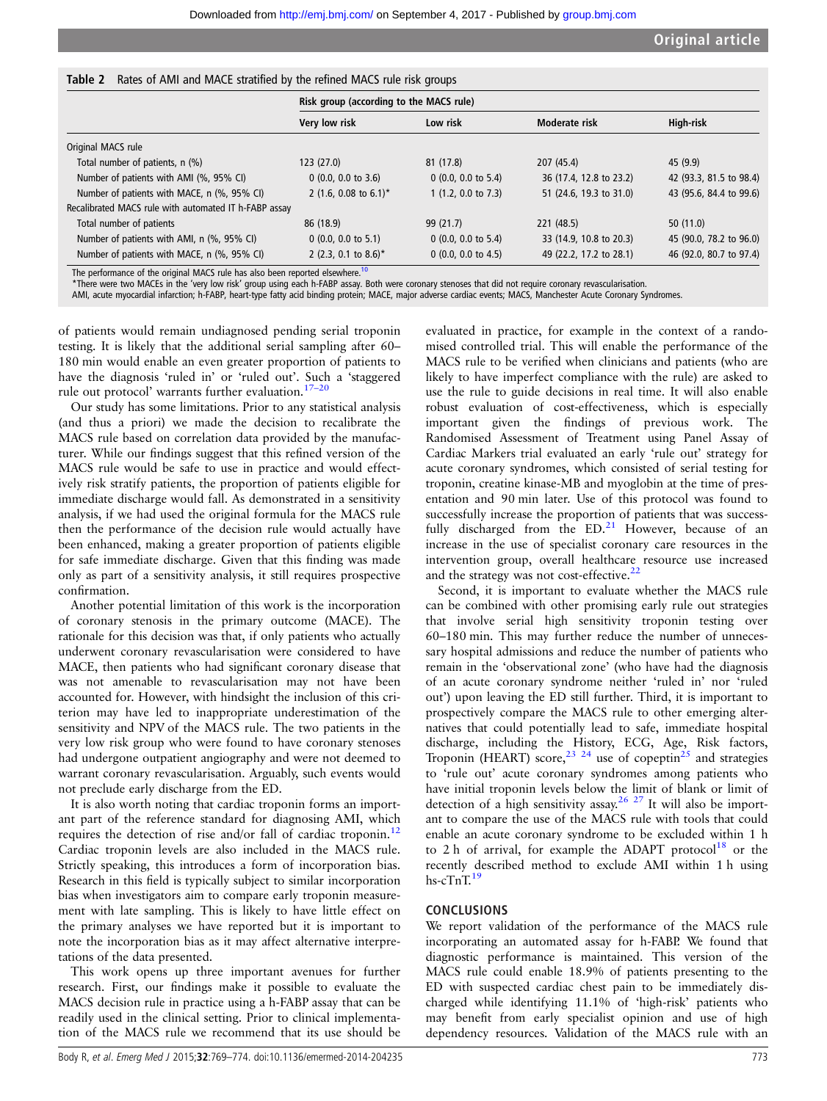<span id="page-4-0"></span>

| Table 2 Rates of AMI and MACE stratified by the refined MACS rule risk groups |  |
|-------------------------------------------------------------------------------|--|
|-------------------------------------------------------------------------------|--|

|                                                       | Risk group (according to the MACS rule) |                               |                         |                         |
|-------------------------------------------------------|-----------------------------------------|-------------------------------|-------------------------|-------------------------|
|                                                       | Very low risk                           | Low risk                      | Moderate risk           | High-risk               |
| Original MACS rule                                    |                                         |                               |                         |                         |
| Total number of patients, n (%)                       | 123(27.0)                               | 81 (17.8)                     | 207 (45.4)              | 45 (9.9)                |
| Number of patients with AMI (%, 95% CI)               | $0(0.0, 0.0 \text{ to } 3.6)$           | $0(0.0, 0.0$ to 5.4)          | 36 (17.4, 12.8 to 23.2) | 42 (93.3, 81.5 to 98.4) |
| Number of patients with MACE, n (%, 95% CI)           | 2 (1.6, 0.08 to 6.1)*                   | $1(1.2, 0.0 \text{ to } 7.3)$ | 51 (24.6, 19.3 to 31.0) | 43 (95.6, 84.4 to 99.6) |
| Recalibrated MACS rule with automated IT h-FABP assay |                                         |                               |                         |                         |
| Total number of patients                              | 86(18.9)                                | 99(21.7)                      | 221(48.5)               | 50(11.0)                |
| Number of patients with AMI, n (%, 95% CI)            | $0(0.0, 0.0 \text{ to } 5.1)$           | $0(0.0, 0.0$ to 5.4)          | 33 (14.9, 10.8 to 20.3) | 45 (90.0, 78.2 to 96.0) |
| Number of patients with MACE, n (%, 95% CI)           | 2 (2.3, 0.1 to 8.6)*                    | $0(0.0, 0.0$ to 4.5)          | 49 (22.2, 17.2 to 28.1) | 46 (92.0, 80.7 to 97.4) |

The performance of the original MACS rule has also been reported elsewhere.

\*There were two MACEs in the 'very low risk' group using each h-FABP assay. Both were coronary stenoses that did not require coronary revascularisation.

AMI, acute myocardial infarction; h-FABP, heart-type fatty acid binding protein; MACE, major adverse cardiac events; MACS, Manchester Acute Coronary Syndromes.

of patients would remain undiagnosed pending serial troponin testing. It is likely that the additional serial sampling after 60– 180 min would enable an even greater proportion of patients to have the diagnosis 'ruled in' or 'ruled out'. Such a 'staggered rule out protocol' warrants further evaluation.<sup>[17](#page-5-0)–20</sup>

Our study has some limitations. Prior to any statistical analysis (and thus a priori) we made the decision to recalibrate the MACS rule based on correlation data provided by the manufacturer. While our findings suggest that this refined version of the MACS rule would be safe to use in practice and would effectively risk stratify patients, the proportion of patients eligible for immediate discharge would fall. As demonstrated in a sensitivity analysis, if we had used the original formula for the MACS rule then the performance of the decision rule would actually have been enhanced, making a greater proportion of patients eligible for safe immediate discharge. Given that this finding was made only as part of a sensitivity analysis, it still requires prospective confirmation.

Another potential limitation of this work is the incorporation of coronary stenosis in the primary outcome (MACE). The rationale for this decision was that, if only patients who actually underwent coronary revascularisation were considered to have MACE, then patients who had significant coronary disease that was not amenable to revascularisation may not have been accounted for. However, with hindsight the inclusion of this criterion may have led to inappropriate underestimation of the sensitivity and NPV of the MACS rule. The two patients in the very low risk group who were found to have coronary stenoses had undergone outpatient angiography and were not deemed to warrant coronary revascularisation. Arguably, such events would not preclude early discharge from the ED.

It is also worth noting that cardiac troponin forms an important part of the reference standard for diagnosing AMI, which requires the detection of rise and/or fall of cardiac troponin.<sup>12</sup> Cardiac troponin levels are also included in the MACS rule. Strictly speaking, this introduces a form of incorporation bias. Research in this field is typically subject to similar incorporation bias when investigators aim to compare early troponin measurement with late sampling. This is likely to have little effect on the primary analyses we have reported but it is important to note the incorporation bias as it may affect alternative interpretations of the data presented.

This work opens up three important avenues for further research. First, our findings make it possible to evaluate the MACS decision rule in practice using a h-FABP assay that can be readily used in the clinical setting. Prior to clinical implementation of the MACS rule we recommend that its use should be

evaluated in practice, for example in the context of a randomised controlled trial. This will enable the performance of the MACS rule to be verified when clinicians and patients (who are likely to have imperfect compliance with the rule) are asked to use the rule to guide decisions in real time. It will also enable robust evaluation of cost-effectiveness, which is especially important given the findings of previous work. The Randomised Assessment of Treatment using Panel Assay of Cardiac Markers trial evaluated an early 'rule out' strategy for acute coronary syndromes, which consisted of serial testing for troponin, creatine kinase-MB and myoglobin at the time of presentation and 90 min later. Use of this protocol was found to successfully increase the proportion of patients that was successfully discharged from the  $ED.^{21}$  $ED.^{21}$  $ED.^{21}$  However, because of an increase in the use of specialist coronary care resources in the intervention group, overall healthcare resource use increased and the strategy was not cost-effective.<sup>22</sup>

Second, it is important to evaluate whether the MACS rule can be combined with other promising early rule out strategies that involve serial high sensitivity troponin testing over 60–180 min. This may further reduce the number of unnecessary hospital admissions and reduce the number of patients who remain in the 'observational zone' (who have had the diagnosis of an acute coronary syndrome neither 'ruled in' nor 'ruled out') upon leaving the ED still further. Third, it is important to prospectively compare the MACS rule to other emerging alternatives that could potentially lead to safe, immediate hospital discharge, including the History, ECG, Age, Risk factors, Troponin (HEART) score,<sup>[23 24](#page-5-0)</sup> use of copeptin<sup>[25](#page-5-0)</sup> and strategies to 'rule out' acute coronary syndromes among patients who have initial troponin levels below the limit of blank or limit of detection of a high sensitivity assay.<sup>[26 27](#page-5-0)</sup> It will also be important to compare the use of the MACS rule with tools that could enable an acute coronary syndrome to be excluded within 1 h to 2 h of arrival, for example the ADAPT protocol<sup>18</sup> or the recently described method to exclude AMI within 1 h using hs-cTnT.<sup>[19](#page-5-0)</sup>

#### CONCLUSIONS

We report validation of the performance of the MACS rule incorporating an automated assay for h-FABP. We found that diagnostic performance is maintained. This version of the MACS rule could enable 18.9% of patients presenting to the ED with suspected cardiac chest pain to be immediately discharged while identifying 11.1% of 'high-risk' patients who may benefit from early specialist opinion and use of high dependency resources. Validation of the MACS rule with an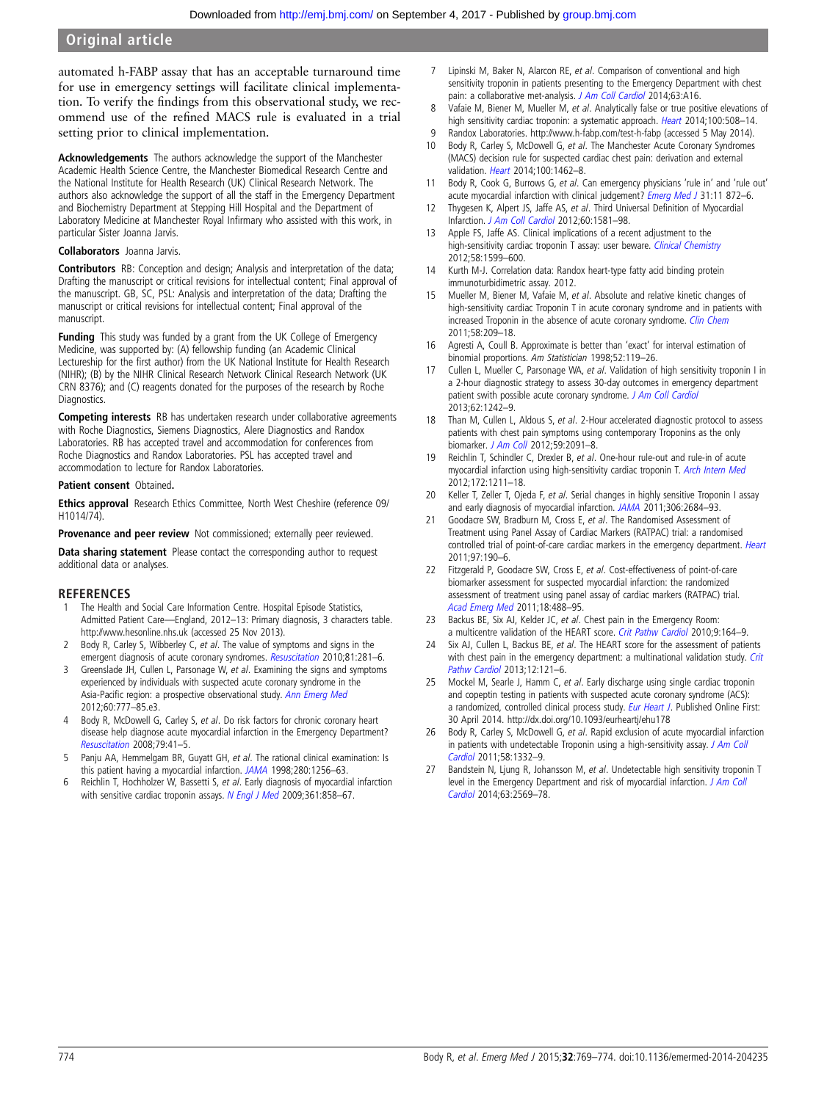### <span id="page-5-0"></span>Original article

automated h-FABP assay that has an acceptable turnaround time for use in emergency settings will facilitate clinical implementation. To verify the findings from this observational study, we recommend use of the refined MACS rule is evaluated in a trial setting prior to clinical implementation.

Acknowledgements The authors acknowledge the support of the Manchester Academic Health Science Centre, the Manchester Biomedical Research Centre and the National Institute for Health Research (UK) Clinical Research Network. The authors also acknowledge the support of all the staff in the Emergency Department and Biochemistry Department at Stepping Hill Hospital and the Department of Laboratory Medicine at Manchester Royal Infirmary who assisted with this work, in particular Sister Joanna Jarvis.

#### Collaborators Joanna Jarvis.

Contributors RB: Conception and design: Analysis and interpretation of the data: Drafting the manuscript or critical revisions for intellectual content; Final approval of the manuscript. GB, SC, PSL: Analysis and interpretation of the data; Drafting the manuscript or critical revisions for intellectual content; Final approval of the manuscript.

Funding This study was funded by a grant from the UK College of Emergency Medicine, was supported by: (A) fellowship funding (an Academic Clinical Lectureship for the first author) from the UK National Institute for Health Research (NIHR); (B) by the NIHR Clinical Research Network Clinical Research Network (UK CRN 8376); and (C) reagents donated for the purposes of the research by Roche Diagnostics.

Competing interests RB has undertaken research under collaborative agreements with Roche Diagnostics, Siemens Diagnostics, Alere Diagnostics and Randox Laboratories. RB has accepted travel and accommodation for conferences from Roche Diagnostics and Randox Laboratories. PSL has accepted travel and accommodation to lecture for Randox Laboratories.

#### Patient consent Obtained.

Ethics approval Research Ethics Committee, North West Cheshire (reference 09/ H1014/74).

Provenance and peer review Not commissioned; externally peer reviewed.

Data sharing statement Please contact the corresponding author to request additional data or analyses.

#### **REFERENCES**

- 1 The Health and Social Care Information Centre. Hospital Episode Statistics, Admitted Patient Care—England, 2012–13: Primary diagnosis, 3 characters table. <http://www.hesonline.nhs.uk> (accessed 25 Nov 2013).
- 2 Body R, Carley S, Wibberley C, et al. The value of symptoms and signs in the emergent diagnosis of acute coronary syndromes. [Resuscitation](http://dx.doi.org/10.1016/j.resuscitation.2009.11.014) 2010;81:281-6.
- 3 Greenslade JH, Cullen L, Parsonage W, et al. Examining the signs and symptoms experienced by individuals with suspected acute coronary syndrome in the Asia-Pacific region: a prospective observational study. [Ann Emerg Med](http://dx.doi.org/10.1016/j.annemergmed.2012.05.008) 2012;60:777–85.e3.
- 4 Body R, McDowell G, Carley S, et al. Do risk factors for chronic coronary heart disease help diagnose acute myocardial infarction in the Emergency Department? [Resuscitation](http://dx.doi.org/10.1016/j.resuscitation.2008.06.009) 2008;79:41–5.
- 5 Panju AA, Hemmelgam BR, Guyatt GH, et al. The rational clinical examination: Is this patient having a myocardial infarction. [JAMA](http://dx.doi.org/10.1001/jama.280.14.1256) 1998;280:1256-63.
- 6 Reichlin T, Hochholzer W, Bassetti S, et al. Early diagnosis of myocardial infarction with sensitive cardiac troponin assays. [N Engl J Med](http://dx.doi.org/10.1056/NEJMoa0900428) 2009;361:858-67.
- 7 Lipinski M, Baker N, Alarcon RE, et al. Comparison of conventional and high sensitivity troponin in patients presenting to the Emergency Department with chest pain: a collaborative met-analysis. [J Am Coll Cardiol](http://dx.doi.org/10.1016/S0735-1097(14)60016-4) 2014;63:A16.
- 8 Vafaie M, Biener M, Mueller M, et al. Analytically false or true positive elevations of high sensitivity cardiac troponin: a systematic approach. [Heart](http://dx.doi.org/10.1136/heartjnl-2012-303202) 2014;100:508-14.
- 9 Randox Laboratories.<http://www.h-fabp.com/test-h-fabp> (accessed 5 May 2014). 10 Body R, Carley S, McDowell G, et al. The Manchester Acute Coronary Syndromes
- (MACS) decision rule for suspected cardiac chest pain: derivation and external validation. [Heart](http://dx.doi.org/10.1136/heartjnl-2014-305564) 2014;100:1462-8.
- 11 Body R, Cook G, Burrows G, et al. Can emergency physicians 'rule in' and 'rule out' acute myocardial infarction with clinical judgement? [Emerg Med J](http://dx.doi.org/10.1136/emermed-2014-203832) 31:11 872-6.
- 12 Thygesen K, Alpert JS, Jaffe AS, et al. Third Universal Definition of Myocardial Infarction. [J Am Coll Cardiol](http://dx.doi.org/10.1016/j.jacc.2012.08.001) 2012;60:1581–98.
- 13 Apple FS, Jaffe AS. Clinical implications of a recent adjustment to the high-sensitivity cardiac troponin T assay: user beware. [Clinical Chemistry](http://dx.doi.org/10.1373/clinchem.2012.194985) 2012;58:1599–600.
- 14 Kurth M-J. Correlation data: Randox heart-type fatty acid binding protein immunoturbidimetric assay. 2012.
- 15 Mueller M, Biener M, Vafaie M, et al. Absolute and relative kinetic changes of high-sensitivity cardiac Troponin T in acute coronary syndrome and in patients with increased Troponin in the absence of acute coronary syndrome. [Clin Chem](http://dx.doi.org/10.1373/clinchem.2011.171827) 2011;58:209–18.
- 16 Agresti A, Coull B. Approximate is better than 'exact' for interval estimation of binomial proportions. Am Statistician 1998;52:119–26.
- Cullen L, Mueller C, Parsonage WA, et al. Validation of high sensitivity troponin I in a 2-hour diagnostic strategy to assess 30-day outcomes in emergency department patient swith possible acute coronary syndrome. [J Am Coll Cardiol](http://dx.doi.org/10.1016/j.jacc.2013.02.078) 2013;62:1242–9.
- 18 Than M, Cullen L, Aldous S, et al. 2-Hour accelerated diagnostic protocol to assess patients with chest pain symptoms using contemporary Troponins as the only biomarker. [J Am Coll](http://dx.doi.org/10.1016/j.jacc.2012.02.035) 2012;59:2091–8.
- 19 Reichlin T, Schindler C, Drexler B, et al. One-hour rule-out and rule-in of acute myocardial infarction using high-sensitivity cardiac troponin T. [Arch Intern Med](http://dx.doi.org/10.1001/archinternmed.2012.3698) 2012;172:1211–18.
- 20 Keller T, Zeller T, Ojeda F, et al. Serial changes in highly sensitive Troponin I assay and early diagnosis of myocardial infarction. [JAMA](http://dx.doi.org/10.1001/jama.2011.1896) 2011;306:2684-93.
- 21 Goodacre SW, Bradburn M, Cross E, et al. The Randomised Assessment of Treatment using Panel Assay of Cardiac Markers (RATPAC) trial: a randomised controlled trial of point-of-care cardiac markers in the emergency department. [Heart](http://dx.doi.org/10.1136/hrt.2010.203166) 2011;97:190–6.
- 22 Fitzgerald P, Goodacre SW, Cross E, et al. Cost-effectiveness of point-of-care biomarker assessment for suspected myocardial infarction: the randomized assessment of treatment using panel assay of cardiac markers (RATPAC) trial. [Acad Emerg Med](http://dx.doi.org/10.1111/j.1553-2712.2011.01068.x) 2011;18:488–95.
- 23 Backus BE, Six AJ, Kelder JC, et al. Chest pain in the Emergency Room: a multicentre validation of the HEART score. [Crit Pathw Cardiol](http://dx.doi.org/10.1097/HPC.0b013e3181ec36d8) 2010;9:164–9.
- 24 Six AJ, Cullen L, Backus BE, et al. The HEART score for the assessment of patients with chest pain in the emergency department: a multinational validation study. [Crit](http://dx.doi.org/10.1097/HPC.0b013e31828b327e) [Pathw Cardiol](http://dx.doi.org/10.1097/HPC.0b013e31828b327e) 2013;12:121–6.
- Mockel M, Searle J, Hamm C, et al. Early discharge using single cardiac troponin and copeptin testing in patients with suspected acute coronary syndrome (ACS): a randomized, controlled clinical process study. [Eur Heart J](http://dx.doi.org/10.1093/eurheartj/ehu178). Published Online First: 30 April 2014.<http://dx.doi.org/10.1093/eurheartj/ehu178>
- 26 Body R, Carley S, McDowell G, et al. Rapid exclusion of acute myocardial infarction in patients with undetectable Troponin using a high-sensitivity assay. [J Am Coll](http://dx.doi.org/10.1016/j.jacc.2011.06.026) [Cardiol](http://dx.doi.org/10.1016/j.jacc.2011.06.026) 2011;58:1332–9.
- 27 Bandstein N, Ljung R, Johansson M, et al. Undetectable high sensitivity troponin T level in the Emergency Department and risk of myocardial infarction. [J Am Coll](http://dx.doi.org/10.1016/j.jacc.2014.03.017) [Cardiol](http://dx.doi.org/10.1016/j.jacc.2014.03.017) 2014;63:2569-78.